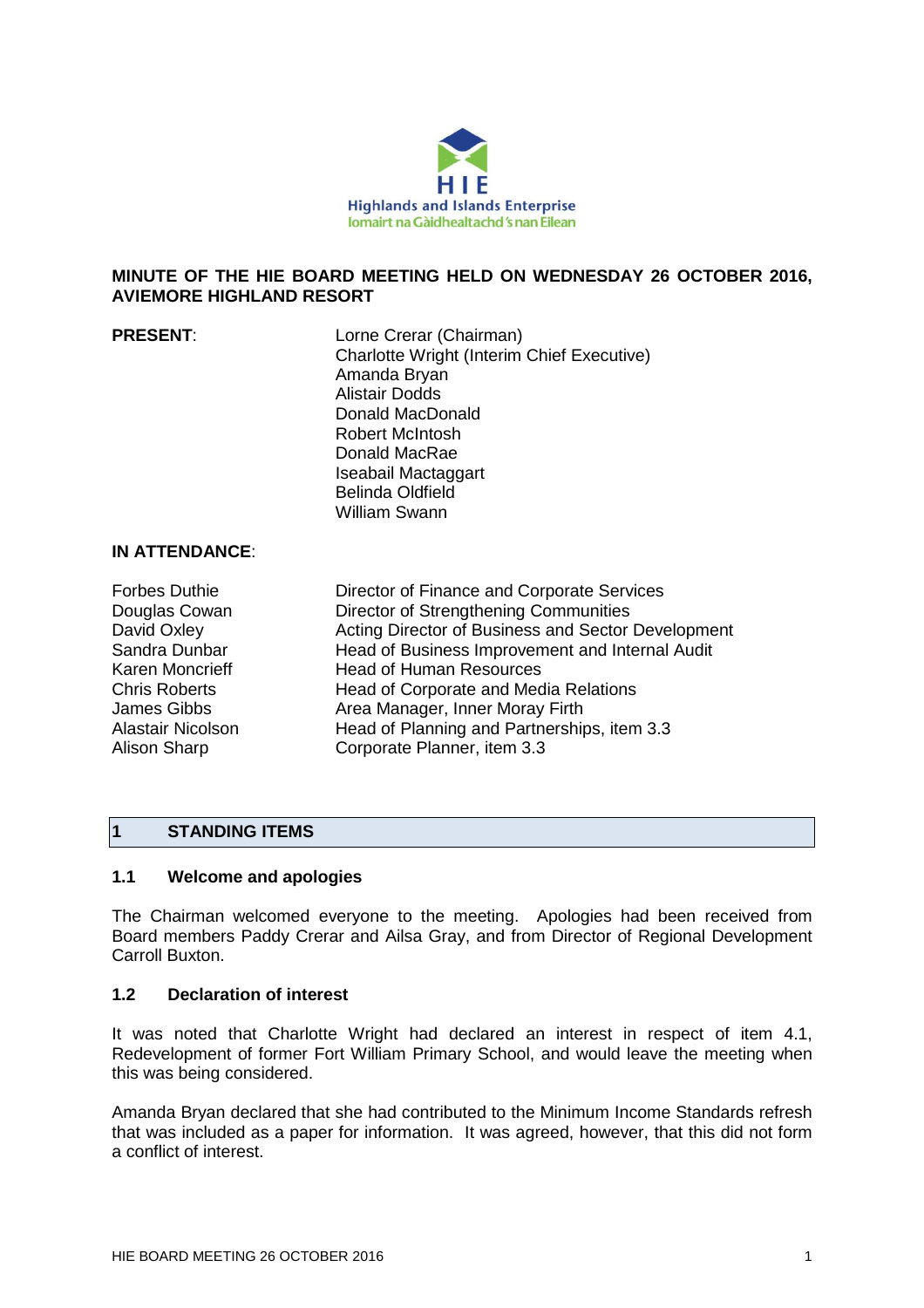

# **MINUTE OF THE HIE BOARD MEETING HELD ON WEDNESDAY 26 OCTOBER 2016, AVIEMORE HIGHLAND RESORT**

| <b>PRESENT:</b> | Lorne Crerar (Chairman)<br><b>Charlotte Wright (Interim Chief Executive)</b><br>Amanda Bryan<br><b>Alistair Dodds</b> |
|-----------------|-----------------------------------------------------------------------------------------------------------------------|
|                 | Donald MacDonald                                                                                                      |
|                 | Robert McIntosh                                                                                                       |
|                 | Donald MacRae                                                                                                         |
|                 | Iseabail Mactaggart                                                                                                   |
|                 | <b>Belinda Oldfield</b>                                                                                               |
|                 | <b>William Swann</b>                                                                                                  |

## **IN ATTENDANCE**:

| <b>Forbes Duthie</b> | Director of Finance and Corporate Services         |
|----------------------|----------------------------------------------------|
| Douglas Cowan        | Director of Strengthening Communities              |
| David Oxley          | Acting Director of Business and Sector Development |
| Sandra Dunbar        | Head of Business Improvement and Internal Audit    |
| Karen Moncrieff      | <b>Head of Human Resources</b>                     |
| <b>Chris Roberts</b> | Head of Corporate and Media Relations              |
| James Gibbs          | Area Manager, Inner Moray Firth                    |
| Alastair Nicolson    | Head of Planning and Partnerships, item 3.3        |
| <b>Alison Sharp</b>  | Corporate Planner, item 3.3                        |
|                      |                                                    |

# **1 STANDING ITEMS**

# **1.1 Welcome and apologies**

The Chairman welcomed everyone to the meeting. Apologies had been received from Board members Paddy Crerar and Ailsa Gray, and from Director of Regional Development Carroll Buxton.

## **1.2 Declaration of interest**

It was noted that Charlotte Wright had declared an interest in respect of item 4.1, Redevelopment of former Fort William Primary School, and would leave the meeting when this was being considered.

Amanda Bryan declared that she had contributed to the Minimum Income Standards refresh that was included as a paper for information. It was agreed, however, that this did not form a conflict of interest.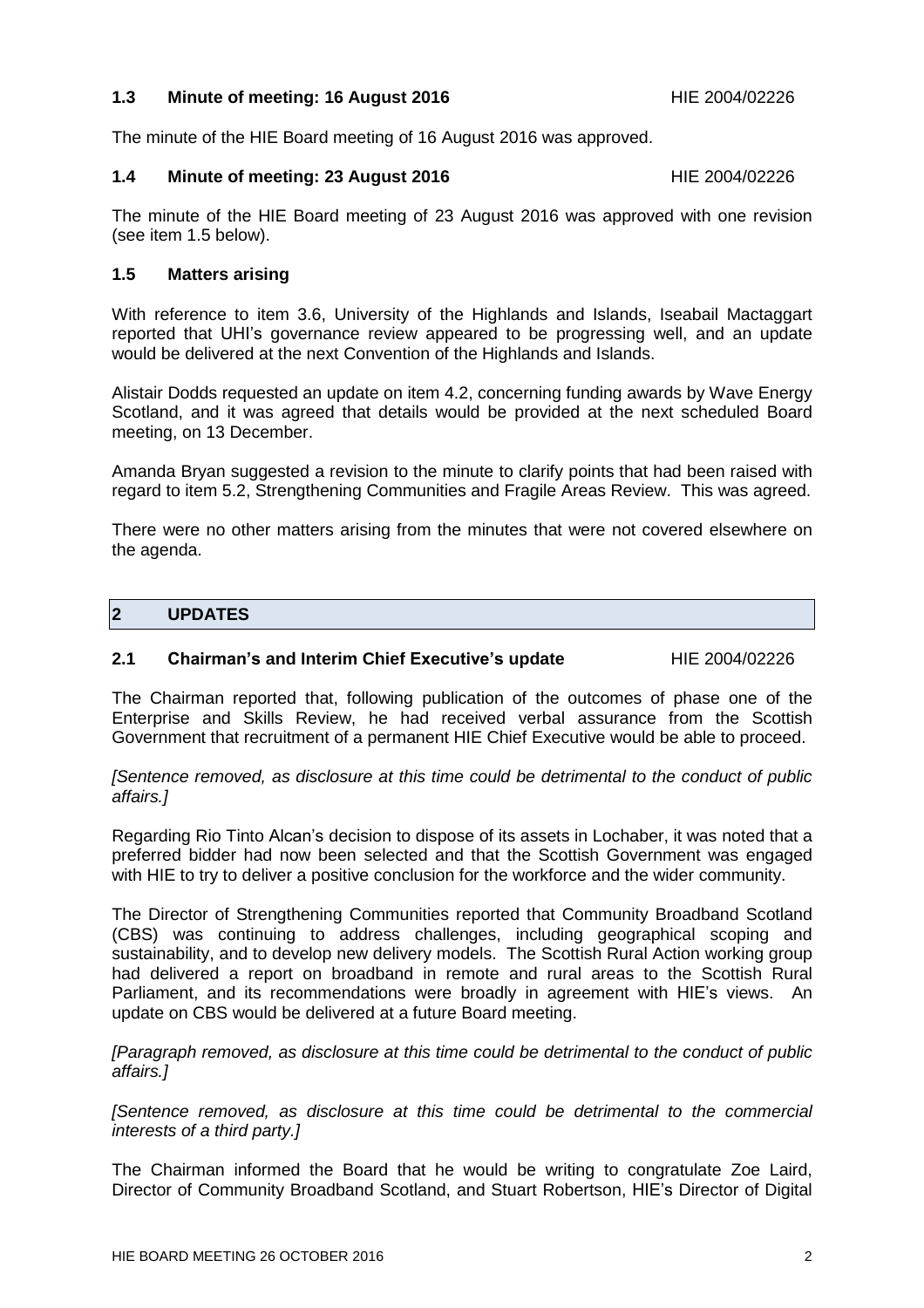# **1.3 Minute of meeting: 16 August 2016** HIE 2004/02226

The minute of the HIE Board meeting of 16 August 2016 was approved.

## **1.4 Minute of meeting: 23 August 2016** HIE 2004/02226

The minute of the HIE Board meeting of 23 August 2016 was approved with one revision (see item 1.5 below).

# **1.5 Matters arising**

With reference to item 3.6, University of the Highlands and Islands, Iseabail Mactaggart reported that UHI's governance review appeared to be progressing well, and an update would be delivered at the next Convention of the Highlands and Islands.

Alistair Dodds requested an update on item 4.2, concerning funding awards by Wave Energy Scotland, and it was agreed that details would be provided at the next scheduled Board meeting, on 13 December.

Amanda Bryan suggested a revision to the minute to clarify points that had been raised with regard to item 5.2, Strengthening Communities and Fragile Areas Review. This was agreed.

There were no other matters arising from the minutes that were not covered elsewhere on the agenda.

# **2 UPDATES**

# **2.1 Chairman's and Interim Chief Executive's update** HIE 2004/02226

The Chairman reported that, following publication of the outcomes of phase one of the Enterprise and Skills Review, he had received verbal assurance from the Scottish Government that recruitment of a permanent HIE Chief Executive would be able to proceed.

*[Sentence removed, as disclosure at this time could be detrimental to the conduct of public affairs.]*

Regarding Rio Tinto Alcan's decision to dispose of its assets in Lochaber, it was noted that a preferred bidder had now been selected and that the Scottish Government was engaged with HIE to try to deliver a positive conclusion for the workforce and the wider community.

The Director of Strengthening Communities reported that Community Broadband Scotland (CBS) was continuing to address challenges, including geographical scoping and sustainability, and to develop new delivery models. The Scottish Rural Action working group had delivered a report on broadband in remote and rural areas to the Scottish Rural Parliament, and its recommendations were broadly in agreement with HIE's views. An update on CBS would be delivered at a future Board meeting.

*[Paragraph removed, as disclosure at this time could be detrimental to the conduct of public affairs.]*

*[Sentence removed, as disclosure at this time could be detrimental to the commercial interests of a third party.]*

The Chairman informed the Board that he would be writing to congratulate Zoe Laird, Director of Community Broadband Scotland, and Stuart Robertson, HIE's Director of Digital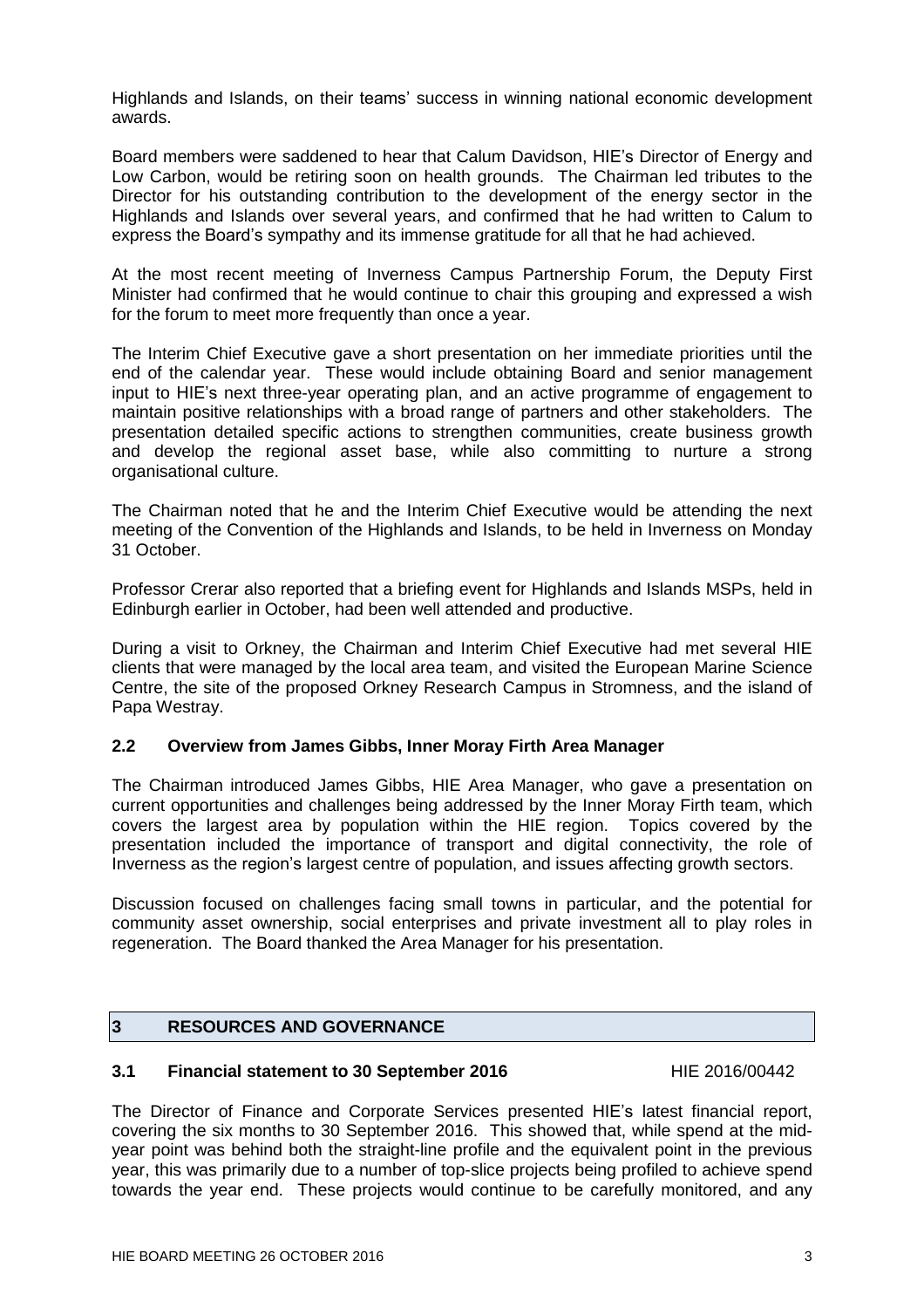Highlands and Islands, on their teams' success in winning national economic development awards.

Board members were saddened to hear that Calum Davidson, HIE's Director of Energy and Low Carbon, would be retiring soon on health grounds. The Chairman led tributes to the Director for his outstanding contribution to the development of the energy sector in the Highlands and Islands over several years, and confirmed that he had written to Calum to express the Board's sympathy and its immense gratitude for all that he had achieved.

At the most recent meeting of Inverness Campus Partnership Forum, the Deputy First Minister had confirmed that he would continue to chair this grouping and expressed a wish for the forum to meet more frequently than once a year.

The Interim Chief Executive gave a short presentation on her immediate priorities until the end of the calendar year. These would include obtaining Board and senior management input to HIE's next three-year operating plan, and an active programme of engagement to maintain positive relationships with a broad range of partners and other stakeholders. The presentation detailed specific actions to strengthen communities, create business growth and develop the regional asset base, while also committing to nurture a strong organisational culture.

The Chairman noted that he and the Interim Chief Executive would be attending the next meeting of the Convention of the Highlands and Islands, to be held in Inverness on Monday 31 October.

Professor Crerar also reported that a briefing event for Highlands and Islands MSPs, held in Edinburgh earlier in October, had been well attended and productive.

During a visit to Orkney, the Chairman and Interim Chief Executive had met several HIE clients that were managed by the local area team, and visited the European Marine Science Centre, the site of the proposed Orkney Research Campus in Stromness, and the island of Papa Westray.

# **2.2 Overview from James Gibbs, Inner Moray Firth Area Manager**

The Chairman introduced James Gibbs, HIE Area Manager, who gave a presentation on current opportunities and challenges being addressed by the Inner Moray Firth team, which covers the largest area by population within the HIE region. Topics covered by the presentation included the importance of transport and digital connectivity, the role of Inverness as the region's largest centre of population, and issues affecting growth sectors.

Discussion focused on challenges facing small towns in particular, and the potential for community asset ownership, social enterprises and private investment all to play roles in regeneration. The Board thanked the Area Manager for his presentation.

# **3 RESOURCES AND GOVERNANCE**

# **3.1 Financial statement to 30 September 2016** HIE 2016/00442

The Director of Finance and Corporate Services presented HIE's latest financial report, covering the six months to 30 September 2016. This showed that, while spend at the midyear point was behind both the straight-line profile and the equivalent point in the previous year, this was primarily due to a number of top-slice projects being profiled to achieve spend towards the year end. These projects would continue to be carefully monitored, and any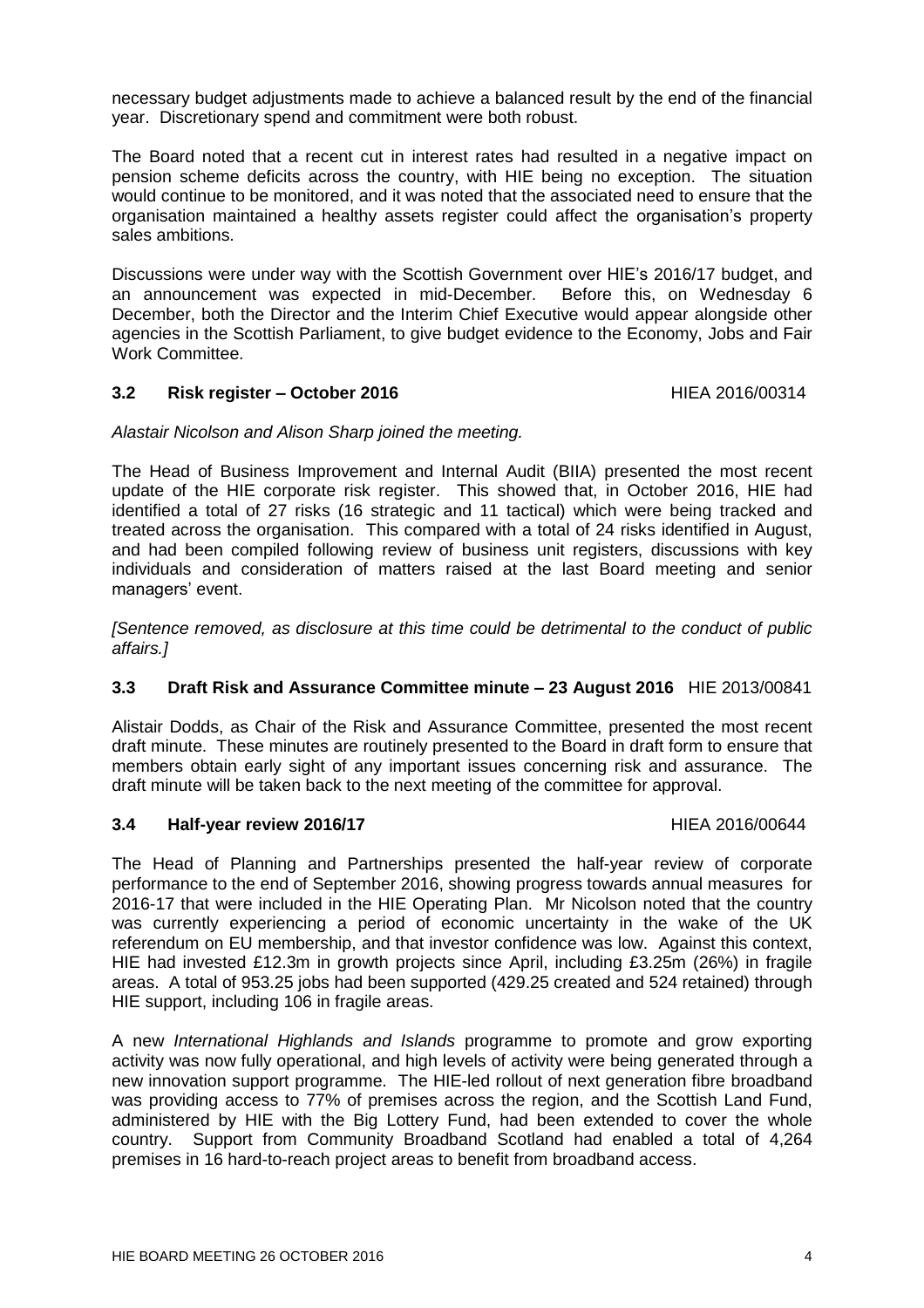necessary budget adjustments made to achieve a balanced result by the end of the financial year. Discretionary spend and commitment were both robust.

The Board noted that a recent cut in interest rates had resulted in a negative impact on pension scheme deficits across the country, with HIE being no exception. The situation would continue to be monitored, and it was noted that the associated need to ensure that the organisation maintained a healthy assets register could affect the organisation's property sales ambitions.

Discussions were under way with the Scottish Government over HIE's 2016/17 budget, and an announcement was expected in mid-December. Before this, on Wednesday 6 December, both the Director and the Interim Chief Executive would appear alongside other agencies in the Scottish Parliament, to give budget evidence to the Economy, Jobs and Fair Work Committee.

# **3.2 Risk register – October 2016** HIEA 2016/00314

# *Alastair Nicolson and Alison Sharp joined the meeting.*

The Head of Business Improvement and Internal Audit (BIIA) presented the most recent update of the HIE corporate risk register. This showed that, in October 2016, HIE had identified a total of 27 risks (16 strategic and 11 tactical) which were being tracked and treated across the organisation. This compared with a total of 24 risks identified in August, and had been compiled following review of business unit registers, discussions with key individuals and consideration of matters raised at the last Board meeting and senior managers' event.

*[Sentence removed, as disclosure at this time could be detrimental to the conduct of public affairs.]*

# **3.3 Draft Risk and Assurance Committee minute – 23 August 2016** HIE 2013/00841

Alistair Dodds, as Chair of the Risk and Assurance Committee, presented the most recent draft minute. These minutes are routinely presented to the Board in draft form to ensure that members obtain early sight of any important issues concerning risk and assurance. The draft minute will be taken back to the next meeting of the committee for approval.

### **3.4 • Half-year review 2016/17 Alternative Structure 11 and 11 FIFA 2016/00644**

The Head of Planning and Partnerships presented the half-year review of corporate performance to the end of September 2016, showing progress towards annual measures for 2016-17 that were included in the HIE Operating Plan. Mr Nicolson noted that the country was currently experiencing a period of economic uncertainty in the wake of the UK referendum on EU membership, and that investor confidence was low. Against this context, HIE had invested £12.3m in growth projects since April, including £3.25m (26%) in fragile areas. A total of 953.25 jobs had been supported (429.25 created and 524 retained) through HIE support, including 106 in fragile areas.

A new *International Highlands and Islands* programme to promote and grow exporting activity was now fully operational, and high levels of activity were being generated through a new innovation support programme. The HIE-led rollout of next generation fibre broadband was providing access to 77% of premises across the region, and the Scottish Land Fund, administered by HIE with the Big Lottery Fund, had been extended to cover the whole country. Support from Community Broadband Scotland had enabled a total of 4,264 premises in 16 hard-to-reach project areas to benefit from broadband access.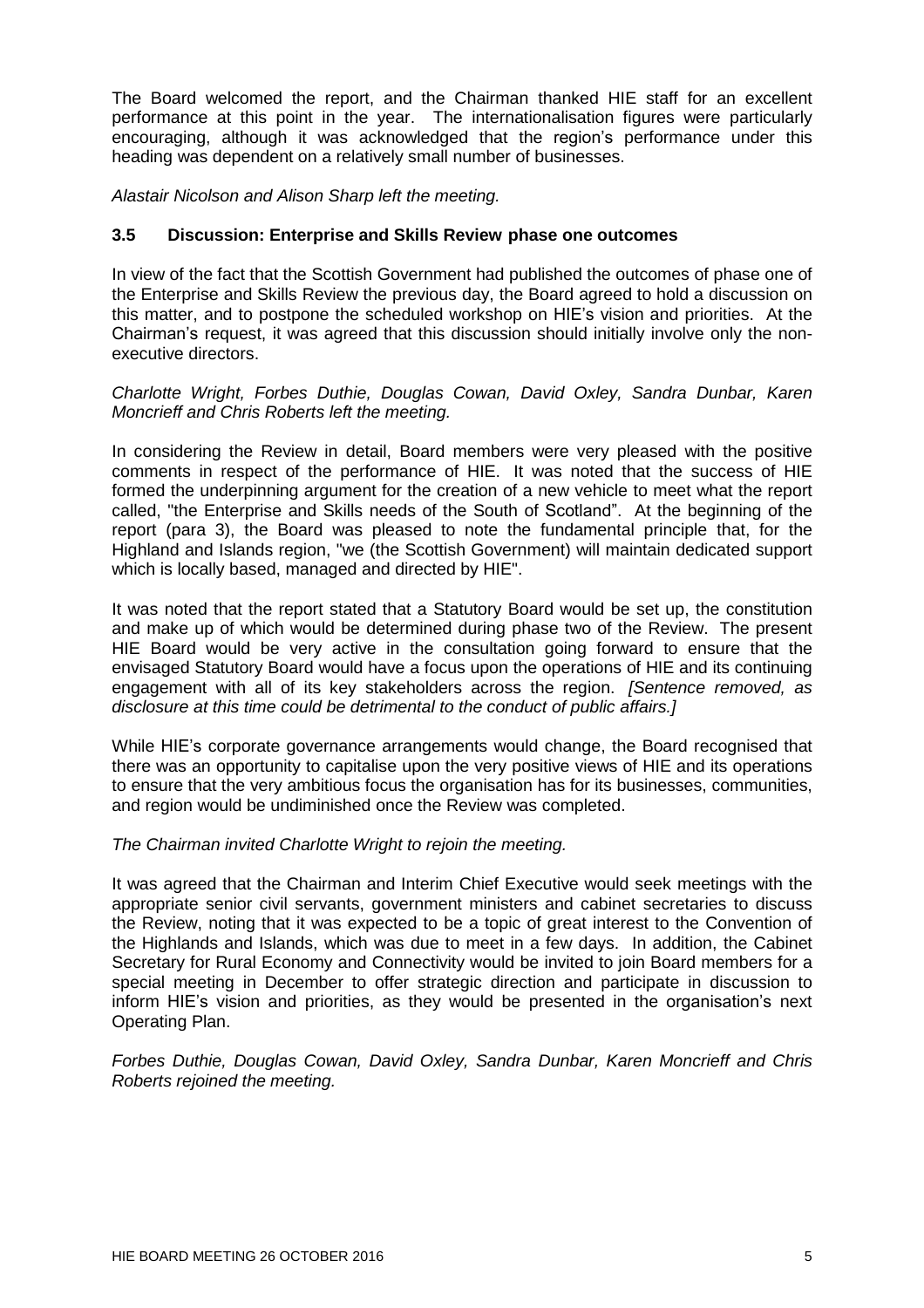The Board welcomed the report, and the Chairman thanked HIE staff for an excellent performance at this point in the year. The internationalisation figures were particularly encouraging, although it was acknowledged that the region's performance under this heading was dependent on a relatively small number of businesses.

*Alastair Nicolson and Alison Sharp left the meeting.*

# **3.5 Discussion: Enterprise and Skills Review phase one outcomes**

In view of the fact that the Scottish Government had published the outcomes of phase one of the Enterprise and Skills Review the previous day, the Board agreed to hold a discussion on this matter, and to postpone the scheduled workshop on HIE's vision and priorities. At the Chairman's request, it was agreed that this discussion should initially involve only the nonexecutive directors.

*Charlotte Wright, Forbes Duthie, Douglas Cowan, David Oxley, Sandra Dunbar, Karen Moncrieff and Chris Roberts left the meeting.*

In considering the Review in detail, Board members were very pleased with the positive comments in respect of the performance of HIE. It was noted that the success of HIE formed the underpinning argument for the creation of a new vehicle to meet what the report called, "the Enterprise and Skills needs of the South of Scotland". At the beginning of the report (para 3), the Board was pleased to note the fundamental principle that, for the Highland and Islands region, "we (the Scottish Government) will maintain dedicated support which is locally based, managed and directed by HIE".

It was noted that the report stated that a Statutory Board would be set up, the constitution and make up of which would be determined during phase two of the Review. The present HIE Board would be very active in the consultation going forward to ensure that the envisaged Statutory Board would have a focus upon the operations of HIE and its continuing engagement with all of its key stakeholders across the region. *[Sentence removed, as disclosure at this time could be detrimental to the conduct of public affairs.]*

While HIE's corporate governance arrangements would change, the Board recognised that there was an opportunity to capitalise upon the very positive views of HIE and its operations to ensure that the very ambitious focus the organisation has for its businesses, communities, and region would be undiminished once the Review was completed.

### *The Chairman invited Charlotte Wright to rejoin the meeting.*

It was agreed that the Chairman and Interim Chief Executive would seek meetings with the appropriate senior civil servants, government ministers and cabinet secretaries to discuss the Review, noting that it was expected to be a topic of great interest to the Convention of the Highlands and Islands, which was due to meet in a few days. In addition, the Cabinet Secretary for Rural Economy and Connectivity would be invited to join Board members for a special meeting in December to offer strategic direction and participate in discussion to inform HIE's vision and priorities, as they would be presented in the organisation's next Operating Plan.

*Forbes Duthie, Douglas Cowan, David Oxley, Sandra Dunbar, Karen Moncrieff and Chris Roberts rejoined the meeting.*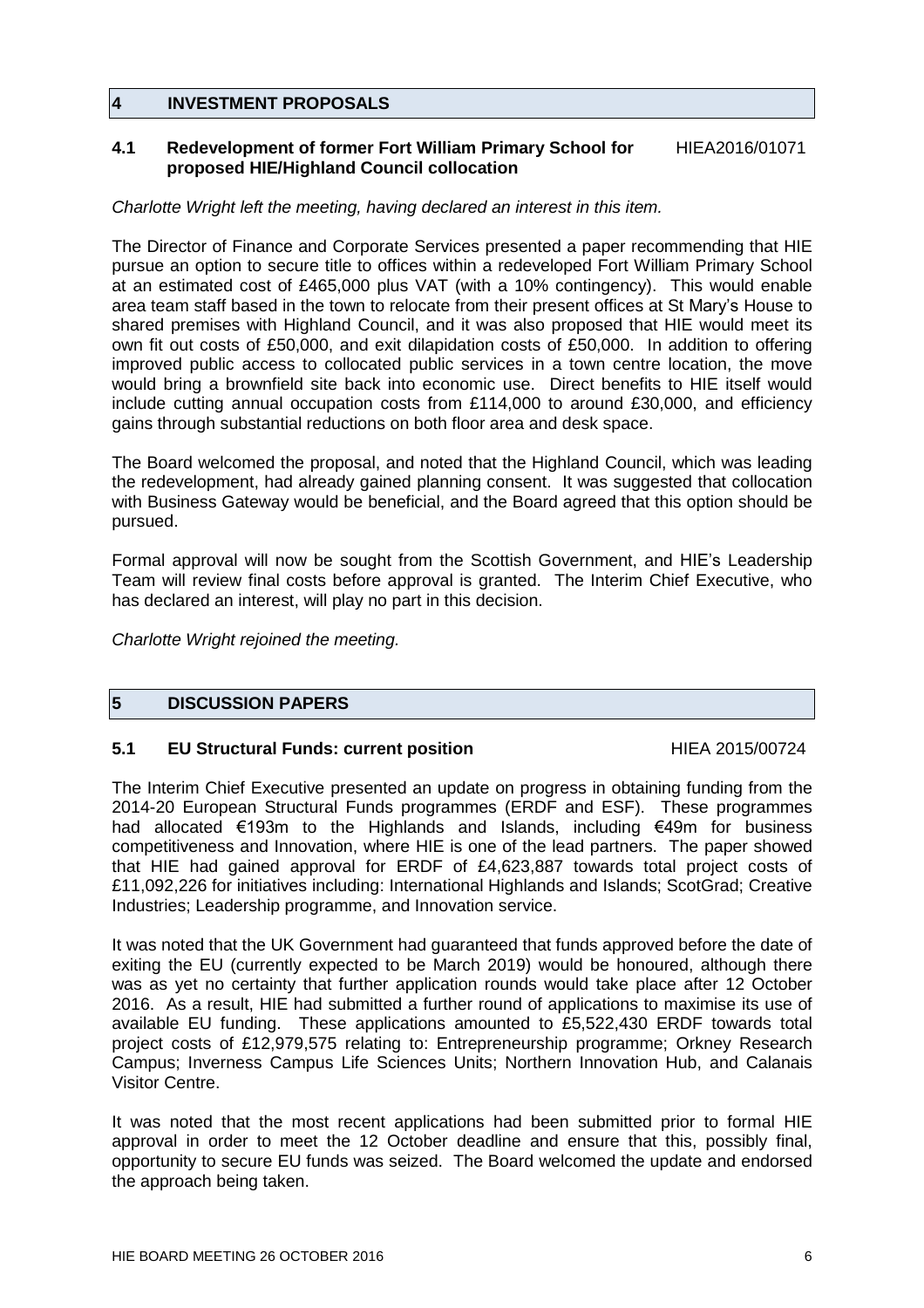# **4 INVESTMENT PROPOSALS**

# **4.1 Redevelopment of former Fort William Primary School for** HIEA2016/01071 **proposed HIE/Highland Council collocation**

# *Charlotte Wright left the meeting, having declared an interest in this item.*

The Director of Finance and Corporate Services presented a paper recommending that HIE pursue an option to secure title to offices within a redeveloped Fort William Primary School at an estimated cost of £465,000 plus VAT (with a 10% contingency). This would enable area team staff based in the town to relocate from their present offices at St Mary's House to shared premises with Highland Council, and it was also proposed that HIE would meet its own fit out costs of £50,000, and exit dilapidation costs of £50,000. In addition to offering improved public access to collocated public services in a town centre location, the move would bring a brownfield site back into economic use. Direct benefits to HIE itself would include cutting annual occupation costs from £114,000 to around £30,000, and efficiency gains through substantial reductions on both floor area and desk space.

The Board welcomed the proposal, and noted that the Highland Council, which was leading the redevelopment, had already gained planning consent. It was suggested that collocation with Business Gateway would be beneficial, and the Board agreed that this option should be pursued.

Formal approval will now be sought from the Scottish Government, and HIE's Leadership Team will review final costs before approval is granted. The Interim Chief Executive, who has declared an interest, will play no part in this decision.

*Charlotte Wright rejoined the meeting.*

# **5 DISCUSSION PAPERS**

## **5.1 EU Structural Funds: current position** THEA 2015/00724

The Interim Chief Executive presented an update on progress in obtaining funding from the 2014-20 European Structural Funds programmes (ERDF and ESF). These programmes had allocated €193m to the Highlands and Islands, including €49m for business competitiveness and Innovation, where HIE is one of the lead partners. The paper showed that HIE had gained approval for ERDF of £4,623,887 towards total project costs of £11,092,226 for initiatives including: International Highlands and Islands; ScotGrad; Creative Industries; Leadership programme, and Innovation service.

It was noted that the UK Government had guaranteed that funds approved before the date of exiting the EU (currently expected to be March 2019) would be honoured, although there was as yet no certainty that further application rounds would take place after 12 October 2016. As a result, HIE had submitted a further round of applications to maximise its use of available EU funding. These applications amounted to £5,522,430 ERDF towards total project costs of £12,979,575 relating to: Entrepreneurship programme; Orkney Research Campus; Inverness Campus Life Sciences Units; Northern Innovation Hub, and Calanais Visitor Centre.

It was noted that the most recent applications had been submitted prior to formal HIE approval in order to meet the 12 October deadline and ensure that this, possibly final, opportunity to secure EU funds was seized. The Board welcomed the update and endorsed the approach being taken.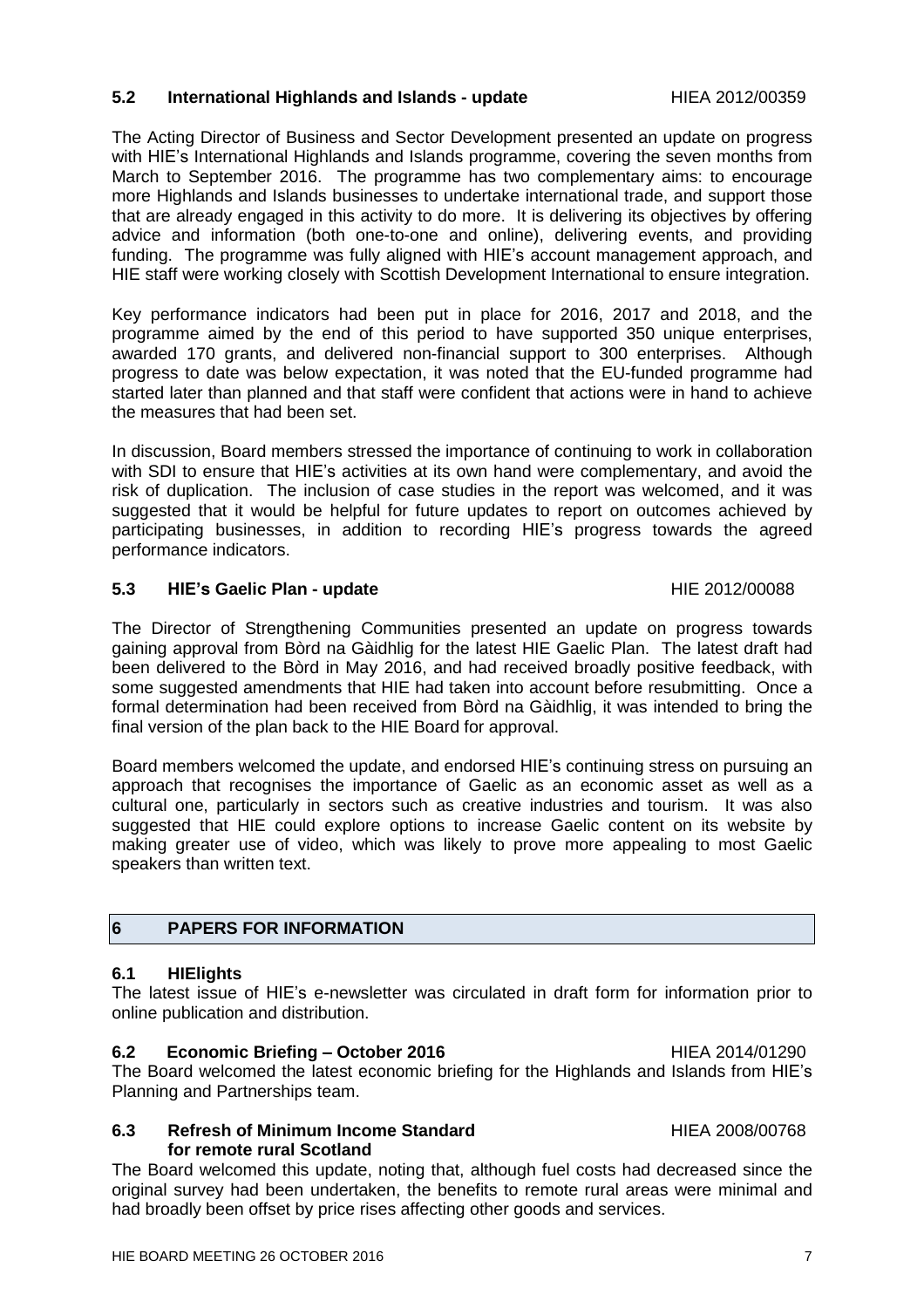The Director of Strengthening Communities presented an update on progress towards gaining approval from Bòrd na Gàidhlig for the latest HIE Gaelic Plan. The latest draft had been delivered to the Bòrd in May 2016, and had received broadly positive feedback, with some suggested amendments that HIE had taken into account before resubmitting. Once a formal determination had been received from Bòrd na Gàidhlig, it was intended to bring the final version of the plan back to the HIE Board for approval.

Board members welcomed the update, and endorsed HIE's continuing stress on pursuing an approach that recognises the importance of Gaelic as an economic asset as well as a cultural one, particularly in sectors such as creative industries and tourism. It was also suggested that HIE could explore options to increase Gaelic content on its website by making greater use of video, which was likely to prove more appealing to most Gaelic speakers than written text.

# **6 PAPERS FOR INFORMATION**

### **6.1 HIElights**

The latest issue of HIE's e-newsletter was circulated in draft form for information prior to online publication and distribution.

### **6.2 Economic Briefing – October 2016** HIEA 2014/01290

The Board welcomed the latest economic briefing for the Highlands and Islands from HIE's Planning and Partnerships team.

# **6.3 Refresh of Minimum Income Standard** HIEA 2008/00768 **for remote rural Scotland**

The Board welcomed this update, noting that, although fuel costs had decreased since the original survey had been undertaken, the benefits to remote rural areas were minimal and had broadly been offset by price rises affecting other goods and services.

# **5.2 International Highlands and Islands - update** HIEA 2012/00359

The Acting Director of Business and Sector Development presented an update on progress with HIE's International Highlands and Islands programme, covering the seven months from March to September 2016. The programme has two complementary aims: to encourage more Highlands and Islands businesses to undertake international trade, and support those that are already engaged in this activity to do more. It is delivering its objectives by offering advice and information (both one-to-one and online), delivering events, and providing funding. The programme was fully aligned with HIE's account management approach, and HIE staff were working closely with Scottish Development International to ensure integration.

Key performance indicators had been put in place for 2016, 2017 and 2018, and the programme aimed by the end of this period to have supported 350 unique enterprises, awarded 170 grants, and delivered non-financial support to 300 enterprises. Although progress to date was below expectation, it was noted that the EU-funded programme had started later than planned and that staff were confident that actions were in hand to achieve the measures that had been set.

In discussion, Board members stressed the importance of continuing to work in collaboration with SDI to ensure that HIE's activities at its own hand were complementary, and avoid the risk of duplication. The inclusion of case studies in the report was welcomed, and it was suggested that it would be helpful for future updates to report on outcomes achieved by participating businesses, in addition to recording HIE's progress towards the agreed performance indicators.

**5.3 HIE's Gaelic Plan - update** HIE 2012/00088